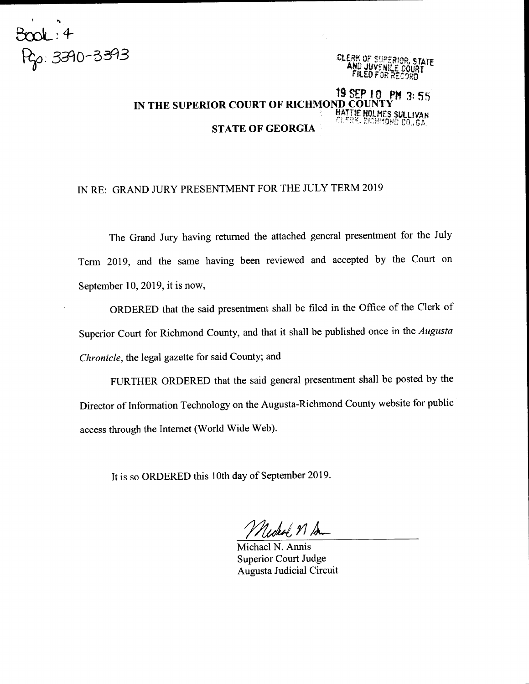

## 19 SEP 10. PM 3: 55 IN THE SUPERIOR COURT OF RICHMOND COUNTY HATTIE HOLMES SULLIVAN<br>CLERK, RICHMOMD CO., GA. STATE OF GEORGIA

## IN RE: GRAND JURY PRESENTMENT FOR THE JULY TERM 2OI9

The Grand Jury having returned the attached general presentment for the July Term 2019, and the same having been reviewed and accepted by the Court on September 10, 2019, it is now,

ORDERED that the said presentment shall be filed in the Office of the Clerk of Superior Court for Richmond County, and that it shall be published once in the Augusta Chronicle, the legal gazette for said County; and

FURTHER ORDERED that the said general presentment shall be posted by the Director of Information Technology on the Augusta-Richmond County website for public access through the Internet (World Wide Web).

It is so ORDERED this 1Oth day of September 2019.

Udeal, N Am

Michael N. Annis Superior Court Judge Augusta Judicial Circuit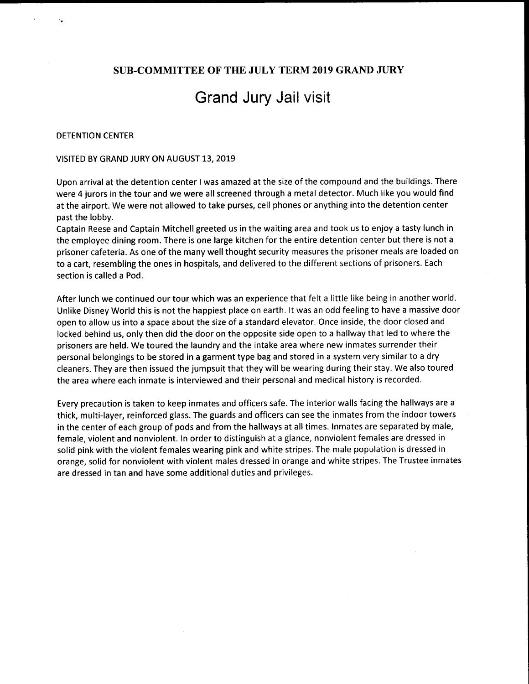## SUB.COMMITTEE OF THE JULY TERM 2019 GRAND JURY

# Grand Jury Jail visit

#### DETENTION CENTER

#### VISITED BY GRAND JURY ON AUGUST 13, 2019

Upon arrival at the detention center I was amazed at the size of the compound and the buildings. There were 4 jurors in the tour and we were all screened through a metal detector. Much like you would find at the airport. We were not allowed to take purses, cell phones or anything into the detention center past the lobby.

Captain Reese and Captain Mitchell greeted us in the waiting area and took us to enjoy a tasty lunch in the employee dining room. There is one large kitchen for the entire detention center but there is not <sup>a</sup> prisoner cafeteria. As one of the many well thought security measures the prisoner meals are loaded on to a cart, resembling the ones in hospitals, and delivered to the different sections of prisoners. Each section is called a Pod.

After lunch we continued our tour which was an experience that felt a little like being in another world. Unlike Disney World this is not the happiest place on earth. lt was an odd feeling to have a massive door open to allow us into a space about the size of a standard elevator. Once inside, the door closed and locked behind us, only then did the door on the opposite side open to a hallway that led to where the prisoners are held. We toured the laundry and the intake area where new inmates surrender their personal belongings to be stored in a garment type bag and stored in a system very similar to a dry cleaners. They are then issued the jumpsuit that they will be wearing during their stay. We also toured the area where each inmate is interviewed and their personal and medical history is recorded.

Every precaution is taken to keep inmates and officers safe. The interior walls facing the hallways are <sup>a</sup> thick, multi-layer, reinforced glass. The guards and officers can see the inmates from the indoor towers in the center of each group of pods and from the hallways at all times. lnmates are separated by male, female, violent and nonviolent. ln order to distinguish at a glance, nonviolent females are dressed in solid pink with the violent females wearing pink and white stripes. The male population is dressed in orange, solid for nonviolent with violent males dressed in orange and white stripes. The Trustee inmates are dressed in tan and have some additional duties and privileges.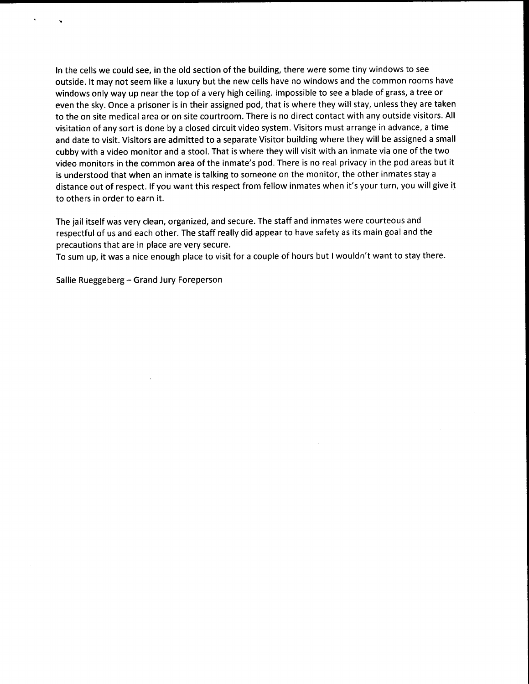ln the cells we could see, in the old section of the building, there were some tiny windows to see outside. lt may not seem like a luxury but the new cells have no windows and the common rooms have windows only way up near the top of a very high ceiling. lmpossible to see a blade of grass, a tree or even the sky. Once a prisoner is in their assigned pod, that is where they will stay, unless they are taken to the on site medical area or on site courtroom. There is no direct contact with any outside visitors. All visitation of any sort is done by a closed circuit video system. Visitors must arrange in advance, a time and date to visit. Visitors are admitted to a separate Visitor building where they will be assigned a small cubby with a video monitor and a stool. That is where they will visit with an inmate via one of the two video monitors in the common area of the inmate's pod. There is no real privacy in the pod areas but it is understood that when an inmate is talking to someone on the monitor, the other inmates stay <sup>a</sup> distance out of respect. lf you want this respect from fellow inmates when it's your turn, you will give it to others in order to earn it.

The jail itself was very clean, organized, and secure. The staff and inmates were courteous and respectful of us and each other. The staff really did appear to have safety as its main goal and the precautions that are in place are very secure.

To sum up, it was a nice enough place to visit for a couple of hours but I wouldn't want to stay there.

Sallie Rueggeberg - Grand Jury Foreperson